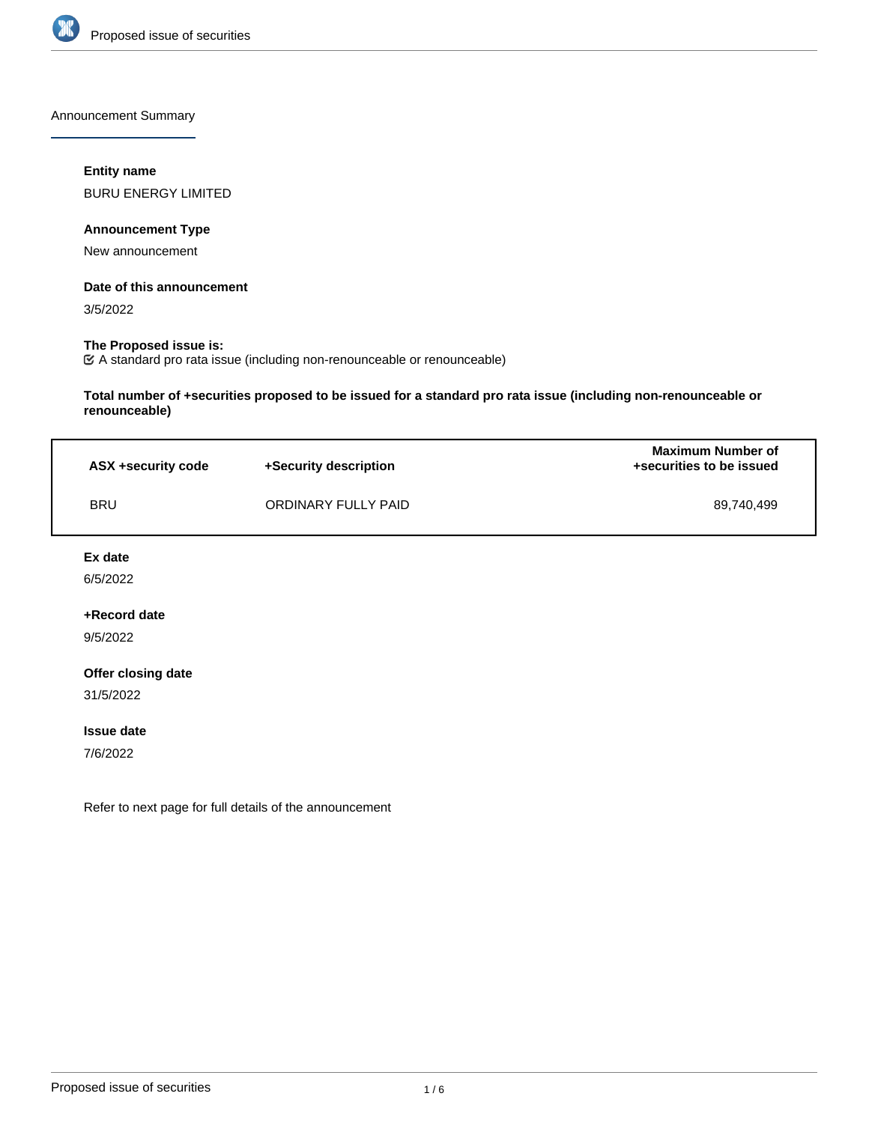

Announcement Summary

## **Entity name**

BURU ENERGY LIMITED

## **Announcement Type**

New announcement

#### **Date of this announcement**

3/5/2022

## **The Proposed issue is:**

A standard pro rata issue (including non-renounceable or renounceable)

**Total number of +securities proposed to be issued for a standard pro rata issue (including non-renounceable or renounceable)**

| ASX +security code | +Security description | <b>Maximum Number of</b><br>+securities to be issued |
|--------------------|-----------------------|------------------------------------------------------|
| <b>BRU</b>         | ORDINARY FULLY PAID   | 89.740.499                                           |

#### **Ex date**

6/5/2022

## **+Record date**

9/5/2022

## **Offer closing date**

31/5/2022

#### **Issue date**

7/6/2022

Refer to next page for full details of the announcement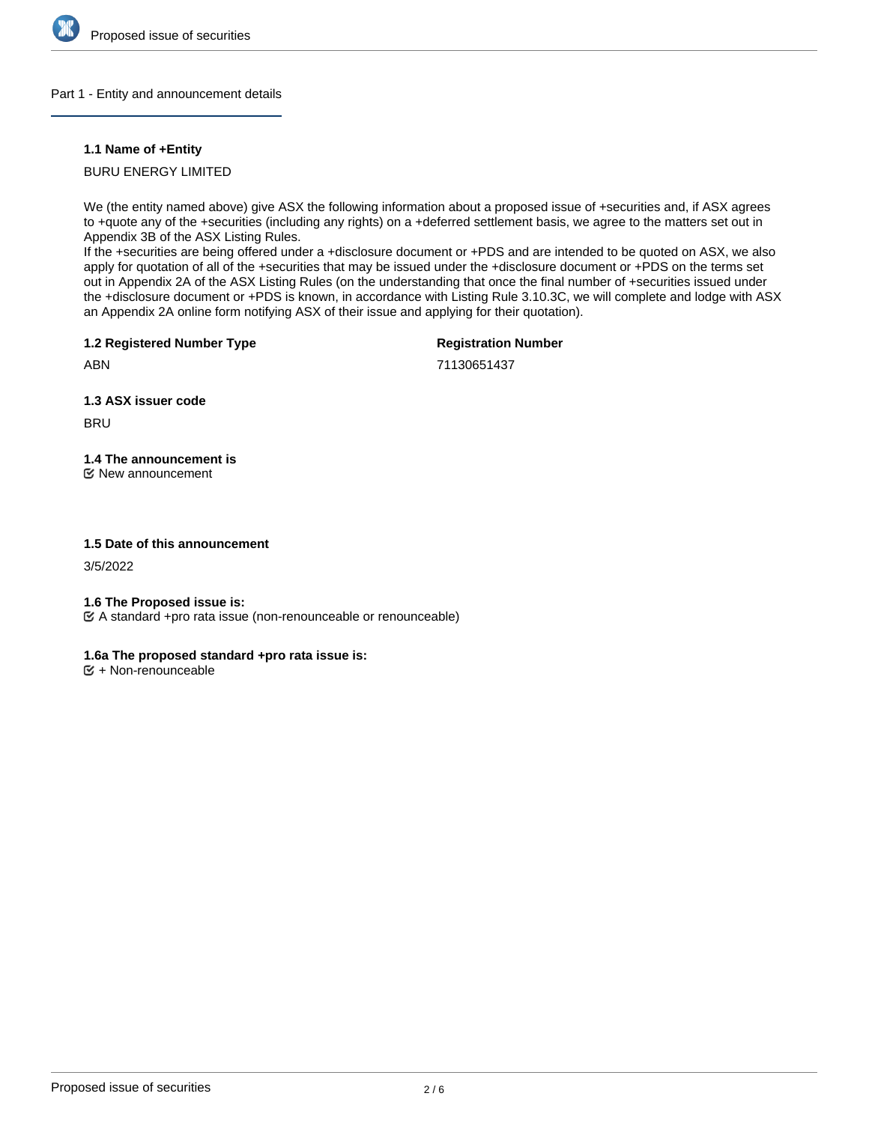

## Part 1 - Entity and announcement details

## **1.1 Name of +Entity**

## BURU ENERGY LIMITED

We (the entity named above) give ASX the following information about a proposed issue of +securities and, if ASX agrees to +quote any of the +securities (including any rights) on a +deferred settlement basis, we agree to the matters set out in Appendix 3B of the ASX Listing Rules.

If the +securities are being offered under a +disclosure document or +PDS and are intended to be quoted on ASX, we also apply for quotation of all of the +securities that may be issued under the +disclosure document or +PDS on the terms set out in Appendix 2A of the ASX Listing Rules (on the understanding that once the final number of +securities issued under the +disclosure document or +PDS is known, in accordance with Listing Rule 3.10.3C, we will complete and lodge with ASX an Appendix 2A online form notifying ASX of their issue and applying for their quotation).

**1.2 Registered Number Type**

**Registration Number**

ABN

71130651437

**1.3 ASX issuer code**

**BRU** 

# **1.4 The announcement is**

New announcement

## **1.5 Date of this announcement**

3/5/2022

## **1.6 The Proposed issue is:**

A standard +pro rata issue (non-renounceable or renounceable)

## **1.6a The proposed standard +pro rata issue is:**

 $E + \text{Non-renounceable}$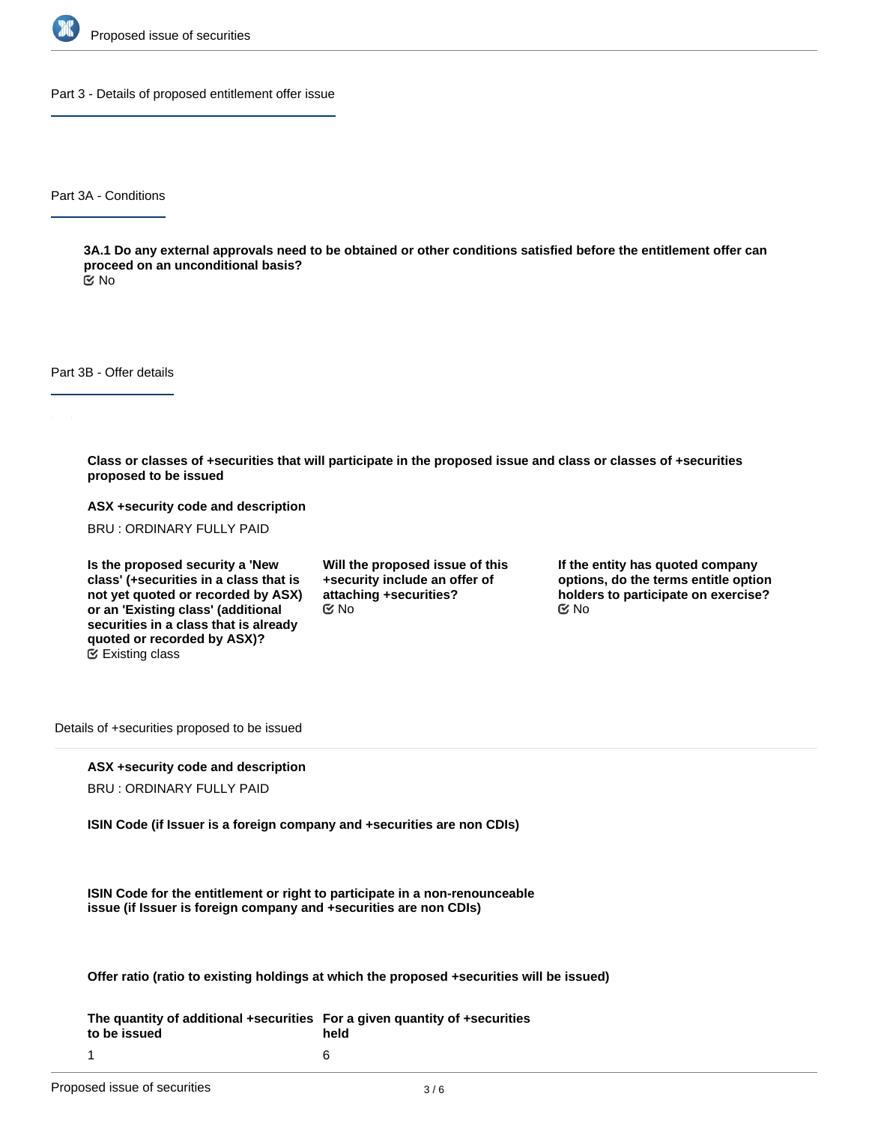

Part 3 - Details of proposed entitlement offer issue

Part 3A - Conditions

**3A.1 Do any external approvals need to be obtained or other conditions satisfied before the entitlement offer can proceed on an unconditional basis?**

No

Part 3B - Offer details

**Class or classes of +securities that will participate in the proposed issue and class or classes of +securities proposed to be issued**

**ASX +security code and description**

BRU : ORDINARY FULLY PAID

**Is the proposed security a 'New class' (+securities in a class that is not yet quoted or recorded by ASX) or an 'Existing class' (additional securities in a class that is already quoted or recorded by ASX)?** Existing class

**Will the proposed issue of this +security include an offer of attaching +securities?**  $\mathfrak{S}$  No  $\mathfrak{S}$  No  $\mathfrak{S}$  No

**If the entity has quoted company options, do the terms entitle option holders to participate on exercise?**

Details of +securities proposed to be issued

## **ASX +security code and description**

BRU : ORDINARY FULLY PAID

**ISIN Code (if Issuer is a foreign company and +securities are non CDIs)**

**ISIN Code for the entitlement or right to participate in a non-renounceable issue (if Issuer is foreign company and +securities are non CDIs)**

**Offer ratio (ratio to existing holdings at which the proposed +securities will be issued)**

**The quantity of additional +securities For a given quantity of +securities to be issued** 1 **held** 6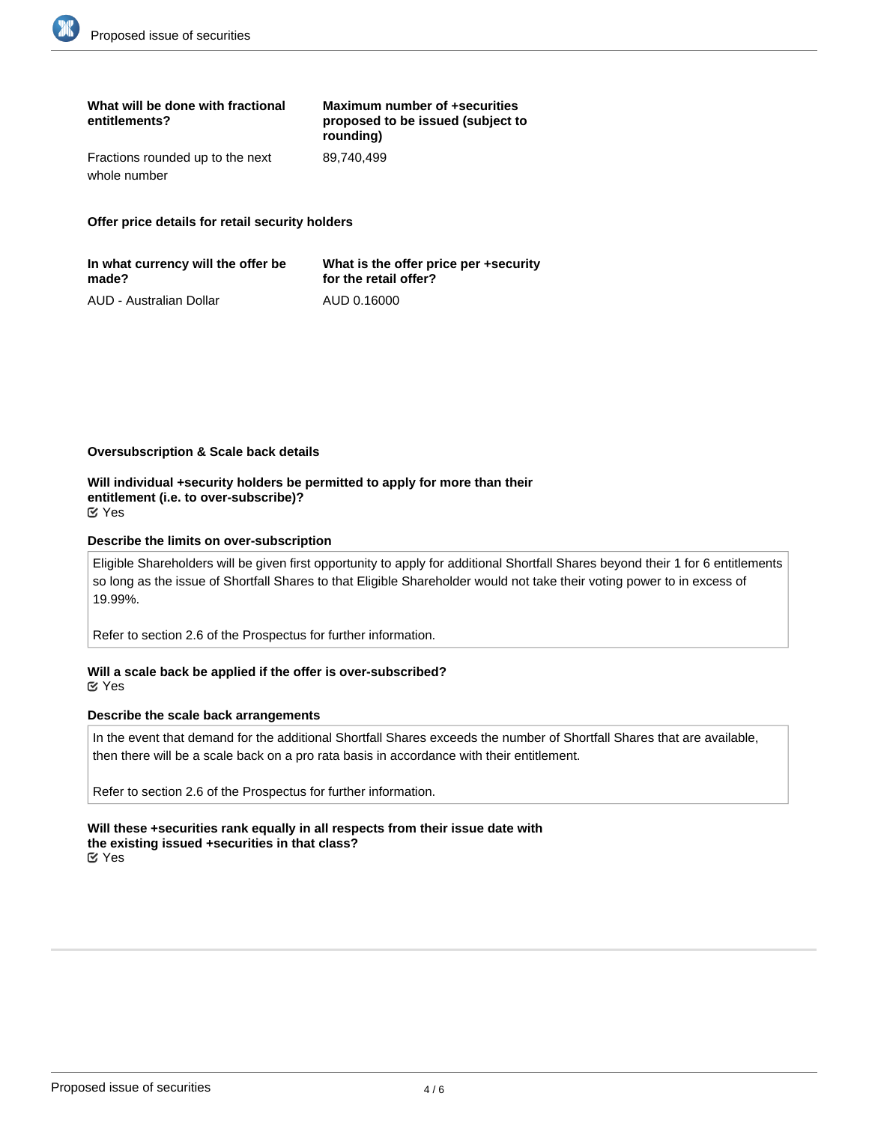| What will be done with fractional<br>entitlements? | Maximum number of +securities<br>proposed to be issued (subject to<br>rounding) |
|----------------------------------------------------|---------------------------------------------------------------------------------|
| Fractions rounded up to the next                   | 89.740.499                                                                      |
| whole number                                       |                                                                                 |

**Offer price details for retail security holders**

| In what currency will the offer be | What is the offer price per +security |
|------------------------------------|---------------------------------------|
| made?                              | for the retail offer?                 |
| AUD - Australian Dollar            | AUD 0.16000                           |

#### **Oversubscription & Scale back details**

**Will individual +security holders be permitted to apply for more than their entitlement (i.e. to over-subscribe)?** Yes

#### **Describe the limits on over-subscription**

Eligible Shareholders will be given first opportunity to apply for additional Shortfall Shares beyond their 1 for 6 entitlements so long as the issue of Shortfall Shares to that Eligible Shareholder would not take their voting power to in excess of 19.99%.

Refer to section 2.6 of the Prospectus for further information.

#### **Will a scale back be applied if the offer is over-subscribed?** Yes

## **Describe the scale back arrangements**

In the event that demand for the additional Shortfall Shares exceeds the number of Shortfall Shares that are available, then there will be a scale back on a pro rata basis in accordance with their entitlement.

Refer to section 2.6 of the Prospectus for further information.

**Will these +securities rank equally in all respects from their issue date with the existing issued +securities in that class?** Yes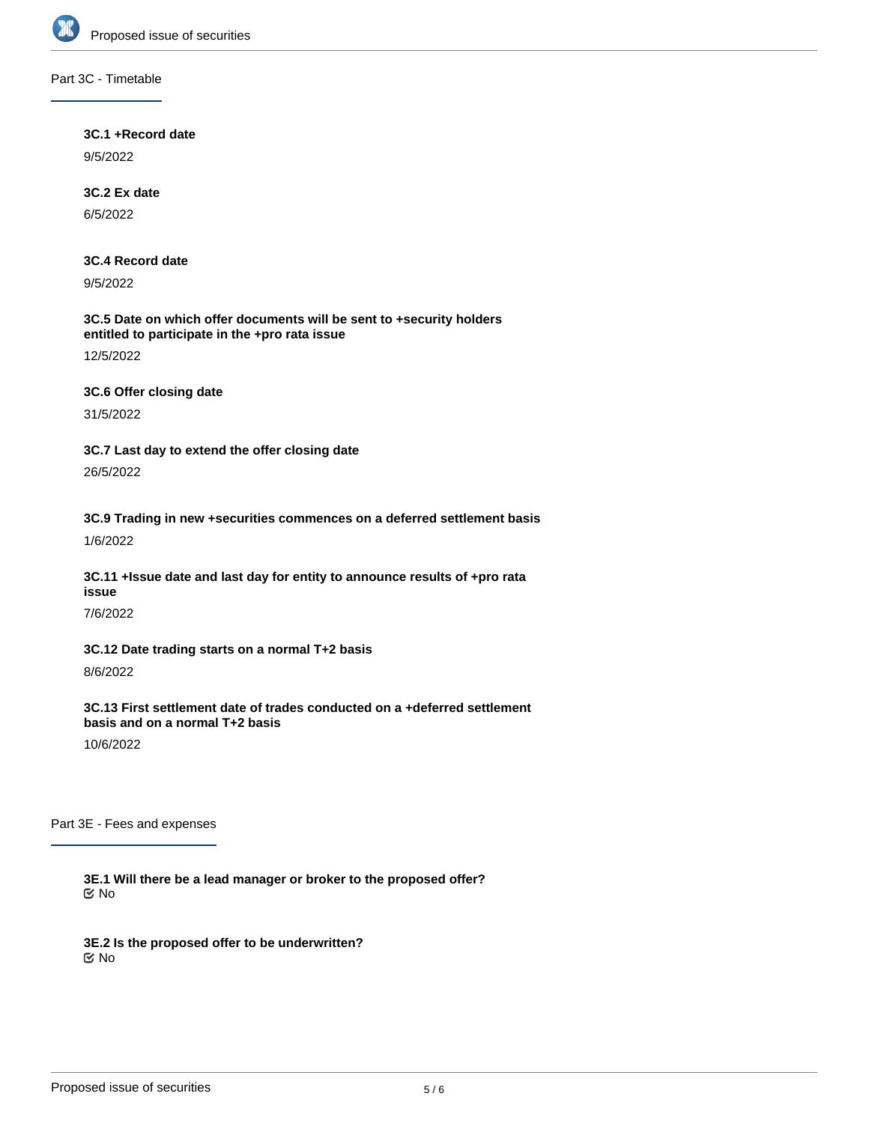

## Part 3C - Timetable

## **3C.1 +Record date**

9/5/2022

## **3C.2 Ex date**

6/5/2022

## **3C.4 Record date**

9/5/2022

## **3C.5 Date on which offer documents will be sent to +security holders entitled to participate in the +pro rata issue**

12/5/2022

## **3C.6 Offer closing date**

31/5/2022

**3C.7 Last day to extend the offer closing date** 26/5/2022

**3C.9 Trading in new +securities commences on a deferred settlement basis** 1/6/2022

## **3C.11 +Issue date and last day for entity to announce results of +pro rata issue**

7/6/2022

## **3C.12 Date trading starts on a normal T+2 basis**

8/6/2022

**3C.13 First settlement date of trades conducted on a +deferred settlement basis and on a normal T+2 basis**

10/6/2022

Part 3E - Fees and expenses

**3E.1 Will there be a lead manager or broker to the proposed offer?** No

**3E.2 Is the proposed offer to be underwritten?** No

**3E.3 Will brokers who lodge acceptances or renunciations on behalf of eligible +security holders be paid a**